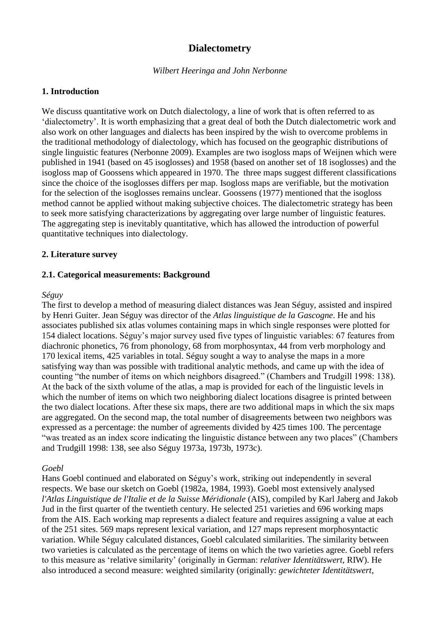# **Dialectometry**

#### *Wilbert Heeringa and John Nerbonne*

### **1. Introduction**

We discuss quantitative work on Dutch dialectology, a line of work that is often referred to as 'dialectometry'. It is worth emphasizing that a great deal of both the Dutch dialectometric work and also work on other languages and dialects has been inspired by the wish to overcome problems in the traditional methodology of dialectology, which has focused on the geographic distributions of single linguistic features (Nerbonne 2009). Examples are two isogloss maps of Weijnen which were published in 1941 (based on 45 isoglosses) and 1958 (based on another set of 18 isoglosses) and the isogloss map of Goossens which appeared in 1970. The three maps suggest different classifications since the choice of the isoglosses differs per map. Isogloss maps are verifiable, but the motivation for the selection of the isoglosses remains unclear. Goossens (1977) mentioned that the isogloss method cannot be applied without making subjective choices. The dialectometric strategy has been to seek more satisfying characterizations by aggregating over large number of linguistic features. The aggregating step is inevitably quantitative, which has allowed the introduction of powerful quantitative techniques into dialectology.

### **2. Literature survey**

### **2.1. Categorical measurements: Background**

#### *Séguy*

The first to develop a method of measuring dialect distances was Jean Séguy, assisted and inspired by Henri Guiter. Jean Séguy was director of the *Atlas linguistique de la Gascogne*. He and his associates published six atlas volumes containing maps in which single responses were plotted for 154 dialect locations. Séguy's major survey used five types of linguistic variables: 67 features from diachronic phonetics, 76 from phonology, 68 from morphosyntax, 44 from verb morphology and 170 lexical items, 425 variables in total. Séguy sought a way to analyse the maps in a more satisfying way than was possible with traditional analytic methods, and came up with the idea of counting "the number of items on which neighbors disagreed." (Chambers and Trudgill 1998: 138). At the back of the sixth volume of the atlas, a map is provided for each of the linguistic levels in which the number of items on which two neighboring dialect locations disagree is printed between the two dialect locations. After these six maps, there are two additional maps in which the six maps are aggregated. On the second map, the total number of disagreements between two neighbors was expressed as a percentage: the number of agreements divided by 425 times 100. The percentage "was treated as an index score indicating the linguistic distance between any two places" (Chambers and Trudgill 1998: 138, see also Séguy 1973a, 1973b, 1973c).

### *Goebl*

Hans Goebl continued and elaborated on Séguy's work, striking out independently in several respects. We base our sketch on Goebl (1982a, 1984, 1993). Goebl most extensively analysed *l'Atlas Linguistique de l'Italie et de la Suisse Méridionale* (AIS), compiled by Karl Jaberg and Jakob Jud in the first quarter of the twentieth century. He selected 251 varieties and 696 working maps from the AIS. Each working map represents a dialect feature and requires assigning a value at each of the 251 sites. 569 maps represent lexical variation, and 127 maps represent morphosyntactic variation. While Séguy calculated distances, Goebl calculated similarities. The similarity between two varieties is calculated as the percentage of items on which the two varieties agree. Goebl refers to this measure as 'relative similarity' (originally in German: *relativer Identitätswert*, RIW). He also introduced a second measure: weighted similarity (originally: *gewichteter Identitätswert*,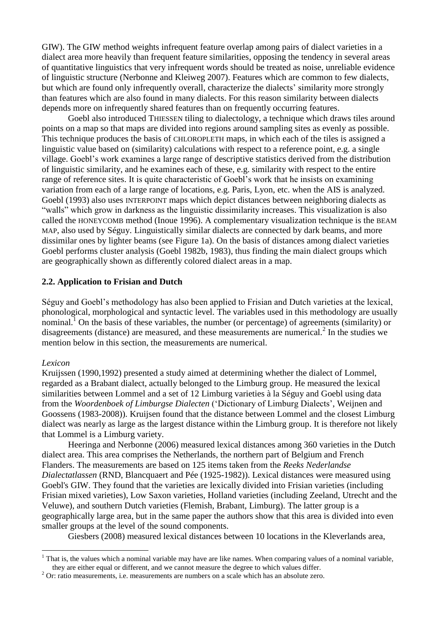GIW). The GIW method weights infrequent feature overlap among pairs of dialect varieties in a dialect area more heavily than frequent feature similarities, opposing the tendency in several areas of quantitative linguistics that very infrequent words should be treated as noise, unreliable evidence of linguistic structure (Nerbonne and Kleiweg 2007). Features which are common to few dialects, but which are found only infrequently overall, characterize the dialects' similarity more strongly than features which are also found in many dialects. For this reason similarity between dialects depends more on infrequently shared features than on frequently occurring features.

Goebl also introduced THIESSEN tiling to dialectology, a technique which draws tiles around points on a map so that maps are divided into regions around sampling sites as evenly as possible. This technique produces the basis of CHLOROPLETH maps, in which each of the tiles is assigned a linguistic value based on (similarity) calculations with respect to a reference point, e.g. a single village. Goebl's work examines a large range of descriptive statistics derived from the distribution of linguistic similarity, and he examines each of these, e.g. similarity with respect to the entire range of reference sites. It is quite characteristic of Goebl's work that he insists on examining variation from each of a large range of locations, e.g. Paris, Lyon, etc. when the AIS is analyzed. Goebl (1993) also uses INTERPOINT maps which depict distances between neighboring dialects as "walls" which grow in darkness as the linguistic dissimilarity increases. This visualization is also called the HONEYCOMB method (Inoue 1996). A complementary visualization technique is the BEAM MAP, also used by Séguy. Linguistically similar dialects are connected by dark beams, and more dissimilar ones by lighter beams (see Figure 1a). On the basis of distances among dialect varieties Goebl performs cluster analysis (Goebl 1982b, 1983), thus finding the main dialect groups which are geographically shown as differently colored dialect areas in a map.

#### **2.2. Application to Frisian and Dutch**

Séguy and Goebl's methodology has also been applied to Frisian and Dutch varieties at the lexical, phonological, morphological and syntactic level. The variables used in this methodology are usually nominal.<sup>1</sup> On the basis of these variables, the number (or percentage) of agreements (similarity) or disagreements (distance) are measured, and these measurements are numerical.<sup>2</sup> In the studies we mention below in this section, the measurements are numerical.

#### *Lexicon*

1

Kruijssen (1990,1992) presented a study aimed at determining whether the dialect of Lommel, regarded as a Brabant dialect, actually belonged to the Limburg group. He measured the lexical similarities between Lommel and a set of 12 Limburg varieties à la Séguy and Goebl using data from the *Woordenboek of Limburgse Dialecten* ('Dictionary of Limburg Dialects', Weijnen and Goossens (1983-2008)). Kruijsen found that the distance between Lommel and the closest Limburg dialect was nearly as large as the largest distance within the Limburg group. It is therefore not likely that Lommel is a Limburg variety.

Heeringa and Nerbonne (2006) measured lexical distances among 360 varieties in the Dutch dialect area. This area comprises the Netherlands, the northern part of Belgium and French Flanders. The measurements are based on 125 items taken from the *Reeks Nederlandse Dialectatlassen* (RND, Blancquaert and Pée (1925-1982)). Lexical distances were measured using Goebl's GIW. They found that the varieties are lexically divided into Frisian varieties (including Frisian mixed varieties), Low Saxon varieties, Holland varieties (including Zeeland, Utrecht and the Veluwe), and southern Dutch varieties (Flemish, Brabant, Limburg). The latter group is a geographically large area, but in the same paper the authors show that this area is divided into even smaller groups at the level of the sound components.

Giesbers (2008) measured lexical distances between 10 locations in the Kleverlands area,

 $<sup>1</sup>$  That is, the values which a nominal variable may have are like names. When comparing values of a nominal variable,</sup> they are either equal or different, and we cannot measure the degree to which values differ.

 $2$  Or: ratio measurements, i.e. measurements are numbers on a scale which has an absolute zero.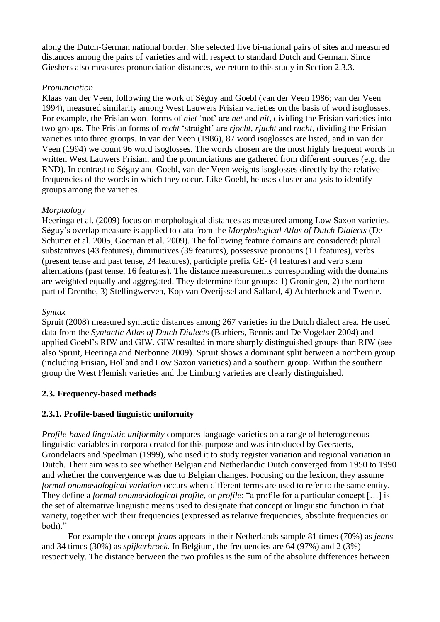along the Dutch-German national border. She selected five bi-national pairs of sites and measured distances among the pairs of varieties and with respect to standard Dutch and German. Since Giesbers also measures pronunciation distances, we return to this study in Section 2.3.3.

### *Pronunciation*

Klaas van der Veen, following the work of Séguy and Goebl (van der Veen 1986; van der Veen 1994), measured similarity among West Lauwers Frisian varieties on the basis of word isoglosses. For example, the Frisian word forms of *niet* 'not' are *net* and *nit*, dividing the Frisian varieties into two groups. The Frisian forms of *recht* 'straight' are *rjocht*, *rjucht* and *rucht*, dividing the Frisian varieties into three groups. In van der Veen (1986), 87 word isoglosses are listed, and in van der Veen (1994) we count 96 word isoglosses. The words chosen are the most highly frequent words in written West Lauwers Frisian, and the pronunciations are gathered from different sources (e.g. the RND). In contrast to Séguy and Goebl, van der Veen weights isoglosses directly by the relative frequencies of the words in which they occur. Like Goebl, he uses cluster analysis to identify groups among the varieties.

## *Morphology*

Heeringa et al. (2009) focus on morphological distances as measured among Low Saxon varieties. Séguy's overlap measure is applied to data from the *Morphological Atlas of Dutch Dialects* (De Schutter et al. 2005, Goeman et al. 2009). The following feature domains are considered: plural substantives (43 features), diminutives (39 features), possessive pronouns (11 features), verbs (present tense and past tense, 24 features), participle prefix GE- (4 features) and verb stem alternations (past tense, 16 features). The distance measurements corresponding with the domains are weighted equally and aggregated. They determine four groups: 1) Groningen, 2) the northern part of Drenthe, 3) Stellingwerven, Kop van Overijssel and Salland, 4) Achterhoek and Twente.

### *Syntax*

Spruit (2008) measured syntactic distances among 267 varieties in the Dutch dialect area. He used data from the *Syntactic Atlas of Dutch Dialects* (Barbiers, Bennis and De Vogelaer 2004) and applied Goebl's RIW and GIW. GIW resulted in more sharply distinguished groups than RIW (see also Spruit, Heeringa and Nerbonne 2009). Spruit shows a dominant split between a northern group (including Frisian, Holland and Low Saxon varieties) and a southern group. Within the southern group the West Flemish varieties and the Limburg varieties are clearly distinguished.

## **2.3. Frequency-based methods**

## **2.3.1. Profile-based linguistic uniformity**

*Profile-based linguistic uniformity* compares language varieties on a range of heterogeneous linguistic variables in corpora created for this purpose and was introduced by Geeraerts, Grondelaers and Speelman (1999), who used it to study register variation and regional variation in Dutch. Their aim was to see whether Belgian and Netherlandic Dutch converged from 1950 to 1990 and whether the convergence was due to Belgian changes. Focusing on the lexicon, they assume *formal onomasiological variation* occurs when different terms are used to refer to the same entity. They define a *formal onomasiological profile*, or *profile*: "a profile for a particular concept […] is the set of alternative linguistic means used to designate that concept or linguistic function in that variety, together with their frequencies (expressed as relative frequencies, absolute frequencies or both)."

For example the concept *jeans* appears in their Netherlands sample 81 times (70%) as *jeans* and 34 times (30%) as *spijkerbroek*. In Belgium, the frequencies are 64 (97%) and 2 (3%) respectively. The distance between the two profiles is the sum of the absolute differences between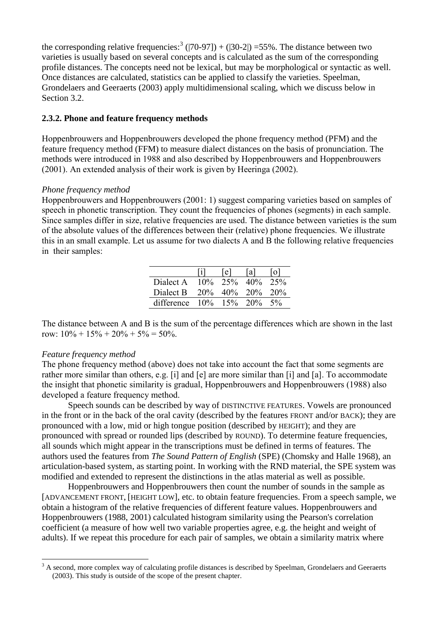the corresponding relative frequencies:<sup>3</sup> ([70-97]) + ([30-2]) =55%. The distance between two varieties is usually based on several concepts and is calculated as the sum of the corresponding profile distances. The concepts need not be lexical, but may be morphological or syntactic as well. Once distances are calculated, statistics can be applied to classify the varieties. Speelman, Grondelaers and Geeraerts (2003) apply multidimensional scaling, which we discuss below in Section 3.2.

### **2.3.2. Phone and feature frequency methods**

Hoppenbrouwers and Hoppenbrouwers developed the phone frequency method (PFM) and the feature frequency method (FFM) to measure dialect distances on the basis of pronunciation. The methods were introduced in 1988 and also described by Hoppenbrouwers and Hoppenbrouwers (2001). An extended analysis of their work is given by Heeringa (2002).

### *Phone frequency method*

Hoppenbrouwers and Hoppenbrouwers (2001: 1) suggest comparing varieties based on samples of speech in phonetic transcription. They count the frequencies of phones (segments) in each sample. Since samples differ in size, relative frequencies are used. The distance between varieties is the sum of the absolute values of the differences between their (relative) phone frequencies. We illustrate this in an small example. Let us assume for two dialects A and B the following relative frequencies in their samples:

|                           |     | l e l       | l a I          |       |
|---------------------------|-----|-------------|----------------|-------|
| Dialect A                 |     | $10\%$ 2.5% | $40\%$         | 2.5%  |
| Dialect B                 | 20% |             | $40\%$ 20% 20% |       |
| difference $10\%$ 15% 20% |     |             |                | $5\%$ |

The distance between A and B is the sum of the percentage differences which are shown in the last row:  $10\% + 15\% + 20\% + 5\% = 50\%$ .

### *Feature frequency method*

The phone frequency method (above) does not take into account the fact that some segments are rather more similar than others, e.g. [i] and [e] are more similar than [i] and [a]. To accommodate the insight that phonetic similarity is gradual, Hoppenbrouwers and Hoppenbrouwers (1988) also developed a feature frequency method.

Speech sounds can be described by way of DISTINCTIVE FEATURES. Vowels are pronounced in the front or in the back of the oral cavity (described by the features FRONT and/or BACK); they are pronounced with a low, mid or high tongue position (described by HEIGHT); and they are pronounced with spread or rounded lips (described by ROUND). To determine feature frequencies, all sounds which might appear in the transcriptions must be defined in terms of features. The authors used the features from *The Sound Pattern of English* (SPE) (Chomsky and Halle 1968), an articulation-based system, as starting point. In working with the RND material, the SPE system was modified and extended to represent the distinctions in the atlas material as well as possible.

Hoppenbrouwers and Hoppenbrouwers then count the number of sounds in the sample as [ADVANCEMENT FRONT, [HEIGHT LOW], etc. to obtain feature frequencies. From a speech sample, we obtain a histogram of the relative frequencies of different feature values. Hoppenbrouwers and Hoppenbrouwers (1988, 2001) calculated histogram similarity using the Pearson's correlation coefficient (a measure of how well two variable properties agree, e.g. the height and weight of adults). If we repeat this procedure for each pair of samples, we obtain a similarity matrix where

<sup>1</sup> <sup>3</sup> A second, more complex way of calculating profile distances is described by Speelman, Grondelaers and Geeraerts (2003). This study is outside of the scope of the present chapter.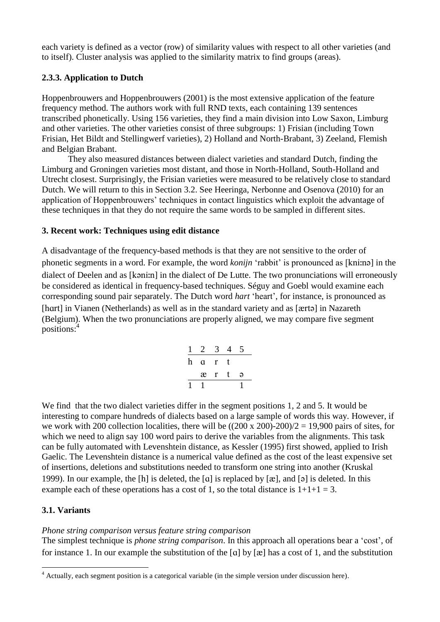each variety is defined as a vector (row) of similarity values with respect to all other varieties (and to itself). Cluster analysis was applied to the similarity matrix to find groups (areas).

## **2.3.3. Application to Dutch**

Hoppenbrouwers and Hoppenbrouwers (2001) is the most extensive application of the feature frequency method. The authors work with full RND texts, each containing 139 sentences transcribed phonetically. Using 156 varieties, they find a main division into Low Saxon, Limburg and other varieties. The other varieties consist of three subgroups: 1) Frisian (including Town Frisian, Het Bildt and Stellingwerf varieties), 2) Holland and North-Brabant, 3) Zeeland, Flemish and Belgian Brabant.

They also measured distances between dialect varieties and standard Dutch, finding the Limburg and Groningen varieties most distant, and those in North-Holland, South-Holland and Utrecht closest. Surprisingly, the Frisian varieties were measured to be relatively close to standard Dutch. We will return to this in Section 3.2. See Heeringa, Nerbonne and Osenova (2010) for an application of Hoppenbrouwers' techniques in contact linguistics which exploit the advantage of these techniques in that they do not require the same words to be sampled in different sites.

### **3. Recent work: Techniques using edit distance**

A disadvantage of the frequency-based methods is that they are not sensitive to the order of phonetic segments in a word. For example, the word *konijn* 'rabbit' is pronounced as [kni:na] in the dialect of Deelen and as [kəni:n] in the dialect of De Lutte. The two pronunciations will erroneously be considered as identical in frequency-based techniques. Séguy and Goebl would examine each corresponding sound pair separately. The Dutch word *hart* 'heart', for instance, is pronounced as [hart] in Vianen (Netherlands) as well as in the standard variety and as [ $\pi$ rtə] in Nazareth (Belgium). When the two pronunciations are properly aligned, we may compare five segment positions:<sup>4</sup>

|   | $\mathcal{L}$ |   | 4           |   |  |
|---|---------------|---|-------------|---|--|
| h | a             | r | t.          |   |  |
|   | æ             | r | $\mathbf t$ | Э |  |
|   |               |   |             |   |  |

We find that the two dialect varieties differ in the segment positions 1, 2 and 5. It would be interesting to compare hundreds of dialects based on a large sample of words this way. However, if we work with 200 collection localities, there will be  $((200 \times 200)$ -200 $)/2 = 19,900$  pairs of sites, for which we need to align say 100 word pairs to derive the variables from the alignments. This task can be fully automated with Levenshtein distance, as Kessler (1995) first showed, applied to Irish Gaelic. The Levenshtein distance is a numerical value defined as the cost of the least expensive set of insertions, deletions and substitutions needed to transform one string into another (Kruskal 1999). In our example, the [h] is deleted, the [a] is replaced by  $[\alpha]$ , and [ə] is deleted. In this example each of these operations has a cost of 1, so the total distance is  $1+1+1=3$ .

## **3.1. Variants**

1

## *Phone string comparison versus feature string comparison*

The simplest technique is *phone string comparison*. In this approach all operations bear a 'cost', of for instance 1. In our example the substitution of the [a] by  $[\mathcal{R}]$  has a cost of 1, and the substitution

<sup>4</sup> Actually, each segment position is a categorical variable (in the simple version under discussion here).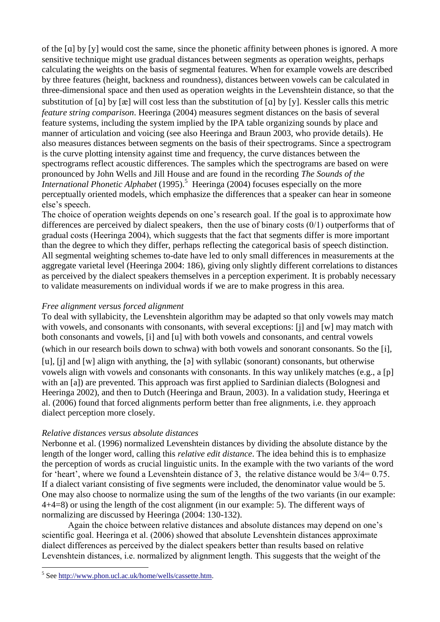of the [a] by [y] would cost the same, since the phonetic affinity between phones is ignored. A more sensitive technique might use gradual distances between segments as operation weights, perhaps calculating the weights on the basis of segmental features. When for example vowels are described by three features (height, backness and roundness), distances between vowels can be calculated in three-dimensional space and then used as operation weights in the Levenshtein distance, so that the substitution of  $[a]$  by  $[x]$  will cost less than the substitution of  $[a]$  by  $[y]$ . Kessler calls this metric *feature string comparison*. Heeringa (2004) measures segment distances on the basis of several feature systems, including the system implied by the IPA table organizing sounds by place and manner of articulation and voicing (see also Heeringa and Braun 2003, who provide details). He also measures distances between segments on the basis of their spectrograms. Since a spectrogram is the curve plotting intensity against time and frequency, the curve distances between the spectrograms reflect acoustic differences. The samples which the spectrograms are based on were pronounced by John Wells and Jill House and are found in the recording *The Sounds of the International Phonetic Alphabet* (1995). 5 Heeringa (2004) focuses especially on the more perceptually oriented models, which emphasize the differences that a speaker can hear in someone else's speech.

The choice of operation weights depends on one's research goal. If the goal is to approximate how differences are perceived by dialect speakers, then the use of binary costs (0/1) outperforms that of gradual costs (Heeringa 2004), which suggests that the fact that segments differ is more important than the degree to which they differ, perhaps reflecting the categorical basis of speech distinction. All segmental weighting schemes to-date have led to only small differences in measurements at the aggregate varietal level (Heeringa 2004: 186), giving only slightly different correlations to distances as perceived by the dialect speakers themselves in a perception experiment. It is probably necessary to validate measurements on individual words if we are to make progress in this area.

### *Free alignment versus forced alignment*

To deal with syllabicity, the Levenshtein algorithm may be adapted so that only vowels may match with vowels, and consonants with consonants, with several exceptions: [i] and [w] may match with both consonants and vowels, [i] and [u] with both vowels and consonants, and central vowels (which in our research boils down to schwa) with both vowels and sonorant consonants. So the [], [u], [j] and [w] align with anything, the  $[9]$  with syllabic (sonorant) consonants, but otherwise

vowels align with vowels and consonants with consonants. In this way unlikely matches (e.g., a [p] with an [a]) are prevented. This approach was first applied to Sardinian dialects (Bolognesi and Heeringa 2002), and then to Dutch (Heeringa and Braun, 2003). In a validation study, Heeringa et al. (2006) found that forced alignments perform better than free alignments, i.e. they approach dialect perception more closely.

### *Relative distances versus absolute distances*

Nerbonne et al. (1996) normalized Levenshtein distances by dividing the absolute distance by the length of the longer word, calling this *relative edit distance*. The idea behind this is to emphasize the perception of words as crucial linguistic units. In the example with the two variants of the word for 'heart', where we found a Levenshtein distance of 3, the relative distance would be 3/4= 0.75. If a dialect variant consisting of five segments were included, the denominator value would be 5. One may also choose to normalize using the sum of the lengths of the two variants (in our example: 4+4=8) or using the length of the cost alignment (in our example: 5). The different ways of normalizing are discussed by Heeringa (2004: 130-132).

Again the choice between relative distances and absolute distances may depend on one's scientific goal. Heeringa et al. (2006) showed that absolute Levenshtein distances approximate dialect differences as perceived by the dialect speakers better than results based on relative Levenshtein distances, i.e. normalized by alignment length. This suggests that the weight of the

1

<sup>&</sup>lt;sup>5</sup> See [http://www.phon.ucl.ac.uk/home/wells/cassette.htm.](http://www.phon.ucl.ac.uk/home/wells/cassette.htm)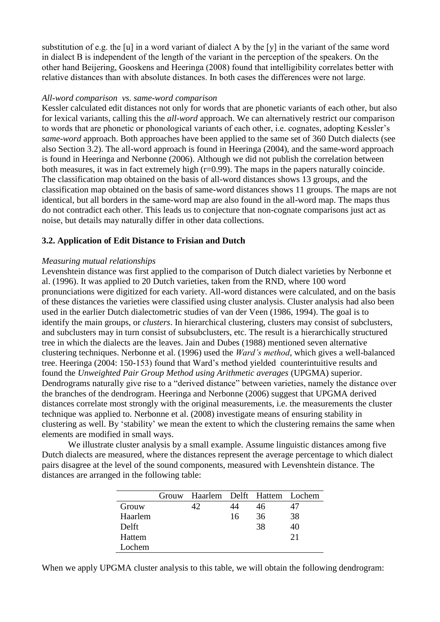substitution of e.g. the [u] in a word variant of dialect A by the [y] in the variant of the same word in dialect B is independent of the length of the variant in the perception of the speakers. On the other hand Beijering, Gooskens and Heeringa (2008) found that intelligibility correlates better with relative distances than with absolute distances. In both cases the differences were not large.

### *All-word comparison vs. same-word comparison*

Kessler calculated edit distances not only for words that are phonetic variants of each other, but also for lexical variants, calling this the *all-word* approach. We can alternatively restrict our comparison to words that are phonetic or phonological variants of each other, i.e. cognates, adopting Kessler's *same-word* approach. Both approaches have been applied to the same set of 360 Dutch dialects (see also Section 3.2). The all-word approach is found in Heeringa (2004), and the same-word approach is found in Heeringa and Nerbonne (2006). Although we did not publish the correlation between both measures, it was in fact extremely high (r=0.99). The maps in the papers naturally coincide. The classification map obtained on the basis of all-word distances shows 13 groups, and the classification map obtained on the basis of same-word distances shows 11 groups. The maps are not identical, but all borders in the same-word map are also found in the all-word map. The maps thus do not contradict each other. This leads us to conjecture that non-cognate comparisons just act as noise, but details may naturally differ in other data collections.

## **3.2. Application of Edit Distance to Frisian and Dutch**

### *Measuring mutual relationships*

Levenshtein distance was first applied to the comparison of Dutch dialect varieties by Nerbonne et al. (1996). It was applied to 20 Dutch varieties, taken from the RND, where 100 word pronunciations were digitized for each variety. All-word distances were calculated, and on the basis of these distances the varieties were classified using cluster analysis. Cluster analysis had also been used in the earlier Dutch dialectometric studies of van der Veen (1986, 1994). The goal is to identify the main groups, or *clusters*. In hierarchical clustering, clusters may consist of subclusters, and subclusters may in turn consist of subsubclusters, etc. The result is a hierarchically structured tree in which the dialects are the leaves. Jain and Dubes (1988) mentioned seven alternative clustering techniques. Nerbonne et al. (1996) used the *Ward's method*, which gives a well-balanced tree. Heeringa (2004: 150-153) found that Ward's method yielded counterintuitive results and found the *Unweighted Pair Group Method using Arithmetic averages* (UPGMA) superior. Dendrograms naturally give rise to a "derived distance" between varieties, namely the distance over the branches of the dendrogram. Heeringa and Nerbonne (2006) suggest that UPGMA derived distances correlate most strongly with the original measurements, i.e. the measurements the cluster technique was applied to. Nerbonne et al. (2008) investigate means of ensuring stability in clustering as well. By 'stability' we mean the extent to which the clustering remains the same when elements are modified in small ways.

We illustrate cluster analysis by a small example. Assume linguistic distances among five Dutch dialects are measured, where the distances represent the average percentage to which dialect pairs disagree at the level of the sound components, measured with Levenshtein distance. The distances are arranged in the following table:

|         | Grouw | Haarlem Delft Hattem Lochem |    |    |    |
|---------|-------|-----------------------------|----|----|----|
| Grouw   |       | 42                          |    | 46 | 47 |
| Haarlem |       |                             | 16 | 36 | 38 |
| Delft   |       |                             |    | 38 | 40 |
| Hattem  |       |                             |    |    | 21 |
| Lochem  |       |                             |    |    |    |

When we apply UPGMA cluster analysis to this table, we will obtain the following dendrogram: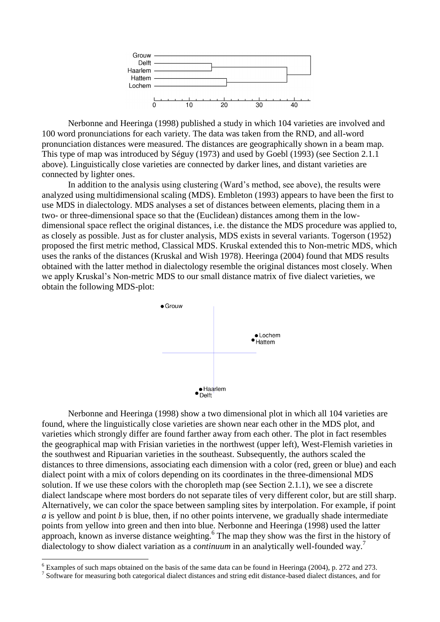

Nerbonne and Heeringa (1998) published a study in which 104 varieties are involved and 100 word pronunciations for each variety. The data was taken from the RND, and all-word pronunciation distances were measured. The distances are geographically shown in a beam map. This type of map was introduced by Séguy (1973) and used by Goebl (1993) (see Section 2.1.1 above). Linguistically close varieties are connected by darker lines, and distant varieties are connected by lighter ones.

In addition to the analysis using clustering (Ward's method, see above), the results were analyzed using multidimensional scaling (MDS). Embleton (1993) appears to have been the first to use MDS in dialectology. MDS analyses a set of distances between elements, placing them in a two- or three-dimensional space so that the (Euclidean) distances among them in the lowdimensional space reflect the original distances, i.e. the distance the MDS procedure was applied to, as closely as possible. Just as for cluster analysis, MDS exists in several variants. Togerson (1952) proposed the first metric method, Classical MDS. Kruskal extended this to Non-metric MDS, which uses the ranks of the distances (Kruskal and Wish 1978). Heeringa (2004) found that MDS results obtained with the latter method in dialectology resemble the original distances most closely. When we apply Kruskal's Non-metric MDS to our small distance matrix of five dialect varieties, we obtain the following MDS-plot:



Nerbonne and Heeringa (1998) show a two dimensional plot in which all 104 varieties are found, where the linguistically close varieties are shown near each other in the MDS plot, and varieties which strongly differ are found farther away from each other. The plot in fact resembles the geographical map with Frisian varieties in the northwest (upper left), West-Flemish varieties in the southwest and Ripuarian varieties in the southeast. Subsequently, the authors scaled the distances to three dimensions, associating each dimension with a color (red, green or blue) and each dialect point with a mix of colors depending on its coordinates in the three-dimensional MDS solution. If we use these colors with the choropleth map (see Section 2.1.1), we see a discrete dialect landscape where most borders do not separate tiles of very different color, but are still sharp. Alternatively, we can color the space between sampling sites by interpolation. For example, if point *a* is yellow and point *b* is blue, then, if no other points intervene, we gradually shade intermediate points from yellow into green and then into blue. Nerbonne and Heeringa (1998) used the latter approach, known as inverse distance weighting.<sup>6</sup> The map they show was the first in the history of dialectology to show dialect variation as a *continuum* in an analytically well-founded way.<sup>7</sup>

1

 $6$  Examples of such maps obtained on the basis of the same data can be found in Heeringa (2004), p. 272 and 273.

<sup>&</sup>lt;sup>7</sup> Software for measuring both categorical dialect distances and string edit distance-based dialect distances, and for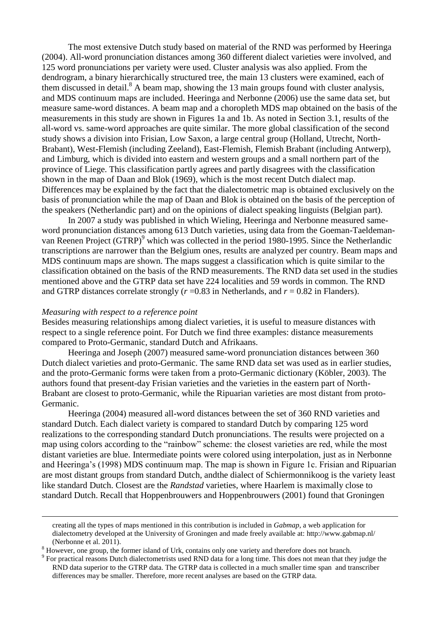The most extensive Dutch study based on material of the RND was performed by Heeringa (2004). All-word pronunciation distances among 360 different dialect varieties were involved, and 125 word pronunciations per variety were used. Cluster analysis was also applied. From the dendrogram, a binary hierarchically structured tree, the main 13 clusters were examined, each of them discussed in detail. <sup>8</sup> A beam map, showing the 13 main groups found with cluster analysis, and MDS continuum maps are included. Heeringa and Nerbonne (2006) use the same data set, but measure same-word distances. A beam map and a choropleth MDS map obtained on the basis of the measurements in this study are shown in Figures 1a and 1b. As noted in Section 3.1, results of the all-word vs. same-word approaches are quite similar. The more global classification of the second study shows a division into Frisian, Low Saxon, a large central group (Holland, Utrecht, North-Brabant), West-Flemish (including Zeeland), East-Flemish, Flemish Brabant (including Antwerp), and Limburg, which is divided into eastern and western groups and a small northern part of the province of Liege. This classification partly agrees and partly disagrees with the classification shown in the map of Daan and Blok (1969), which is the most recent Dutch dialect map. Differences may be explained by the fact that the dialectometric map is obtained exclusively on the basis of pronunciation while the map of Daan and Blok is obtained on the basis of the perception of the speakers (Netherlandic part) and on the opinions of dialect speaking linguists (Belgian part).

In 2007 a study was published in which Wieling, Heeringa and Nerbonne measured sameword pronunciation distances among 613 Dutch varieties, using data from the Goeman-Taeldemanvan Reenen Project (GTRP)<sup>9</sup> which was collected in the period 1980-1995. Since the Netherlandic transcriptions are narrower than the Belgium ones, results are analyzed per country. Beam maps and MDS continuum maps are shown. The maps suggest a classification which is quite similar to the classification obtained on the basis of the RND measurements. The RND data set used in the studies mentioned above and the GTRP data set have 224 localities and 59 words in common. The RND and GTRP distances correlate strongly  $(r=0.83$  in Netherlands, and  $r = 0.82$  in Flanders).

#### *Measuring with respect to a reference point*

<u>.</u>

Besides measuring relationships among dialect varieties, it is useful to measure distances with respect to a single reference point. For Dutch we find three examples: distance measurements compared to Proto-Germanic, standard Dutch and Afrikaans.

Heeringa and Joseph (2007) measured same-word pronunciation distances between 360 Dutch dialect varieties and proto-Germanic. The same RND data set was used as in earlier studies, and the proto-Germanic forms were taken from a proto-Germanic dictionary (Köbler, 2003). The authors found that present-day Frisian varieties and the varieties in the eastern part of North-Brabant are closest to proto-Germanic, while the Ripuarian varieties are most distant from proto-Germanic.

Heeringa (2004) measured all-word distances between the set of 360 RND varieties and standard Dutch. Each dialect variety is compared to standard Dutch by comparing 125 word realizations to the corresponding standard Dutch pronunciations. The results were projected on a map using colors according to the "rainbow" scheme: the closest varieties are red, while the most distant varieties are blue. Intermediate points were colored using interpolation, just as in Nerbonne and Heeringa's (1998) MDS continuum map. The map is shown in Figure 1c. Frisian and Ripuarian are most distant groups from standard Dutch, andthe dialect of Schiermonnikoog is the variety least like standard Dutch. Closest are the *Randstad* varieties, where Haarlem is maximally close to standard Dutch. Recall that Hoppenbrouwers and Hoppenbrouwers (2001) found that Groningen

creating all the types of maps mentioned in this contribution is included in *Gabmap*, a web application for dialectometry developed at the University of Groningen and made freely available at: http://www.gabmap.nl/ (Nerbonne et al. 2011).

<sup>&</sup>lt;sup>8</sup> However, one group, the former island of Urk, contains only one variety and therefore does not branch.

<sup>&</sup>lt;sup>9</sup> For practical reasons Dutch dialectometrists used RND data for a long time. This does not mean that they judge the RND data superior to the GTRP data. The GTRP data is collected in a much smaller time span and transcriber differences may be smaller. Therefore, more recent analyses are based on the GTRP data.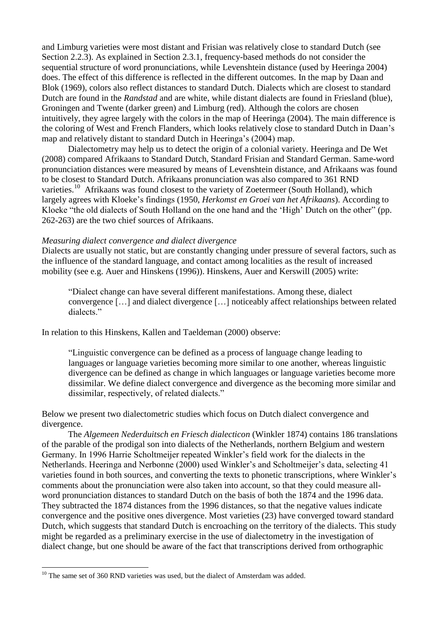and Limburg varieties were most distant and Frisian was relatively close to standard Dutch (see Section 2.2.3). As explained in Section 2.3.1, frequency-based methods do not consider the sequential structure of word pronunciations, while Levenshtein distance (used by Heeringa 2004) does. The effect of this difference is reflected in the different outcomes. In the map by Daan and Blok (1969), colors also reflect distances to standard Dutch. Dialects which are closest to standard Dutch are found in the *Randstad* and are white, while distant dialects are found in Friesland (blue), Groningen and Twente (darker green) and Limburg (red). Although the colors are chosen intuitively, they agree largely with the colors in the map of Heeringa (2004). The main difference is the coloring of West and French Flanders, which looks relatively close to standard Dutch in Daan's map and relatively distant to standard Dutch in Heeringa's (2004) map.

Dialectometry may help us to detect the origin of a colonial variety. Heeringa and De Wet (2008) compared Afrikaans to Standard Dutch, Standard Frisian and Standard German. Same-word pronunciation distances were measured by means of Levenshtein distance, and Afrikaans was found to be closest to Standard Dutch. Afrikaans pronunciation was also compared to 361 RND varieties.<sup>10</sup> Afrikaans was found closest to the variety of Zoetermeer (South Holland), which largely agrees with Kloeke's findings (1950, *Herkomst en Groei van het Afrikaans*). According to Kloeke "the old dialects of South Holland on the one hand and the 'High' Dutch on the other" (pp. 262-263) are the two chief sources of Afrikaans.

#### *Measuring dialect convergence and dialect divergence*

Dialects are usually not static, but are constantly changing under pressure of several factors, such as the influence of the standard language, and contact among localities as the result of increased mobility (see e.g. Auer and Hinskens (1996)). Hinskens, Auer and Kerswill (2005) write:

"Dialect change can have several different manifestations. Among these, dialect convergence […] and dialect divergence […] noticeably affect relationships between related dialects."

In relation to this Hinskens, Kallen and Taeldeman (2000) observe:

"Linguistic convergence can be defined as a process of language change leading to languages or language varieties becoming more similar to one another, whereas linguistic divergence can be defined as change in which languages or language varieties become more dissimilar. We define dialect convergence and divergence as the becoming more similar and dissimilar, respectively, of related dialects."

Below we present two dialectometric studies which focus on Dutch dialect convergence and divergence.

The *Algemeen Nederduitsch en Friesch dialecticon* (Winkler 1874) contains 186 translations of the parable of the prodigal son into dialects of the Netherlands, northern Belgium and western Germany. In 1996 Harrie Scholtmeijer repeated Winkler's field work for the dialects in the Netherlands. Heeringa and Nerbonne (2000) used Winkler's and Scholtmeijer's data, selecting 41 varieties found in both sources, and converting the texts to phonetic transcriptions, where Winkler's comments about the pronunciation were also taken into account, so that they could measure allword pronunciation distances to standard Dutch on the basis of both the 1874 and the 1996 data. They subtracted the 1874 distances from the 1996 distances, so that the negative values indicate convergence and the positive ones divergence. Most varieties (23) have converged toward standard Dutch, which suggests that standard Dutch is encroaching on the territory of the dialects. This study might be regarded as a preliminary exercise in the use of dialectometry in the investigation of dialect change, but one should be aware of the fact that transcriptions derived from orthographic

1

 $10$  The same set of 360 RND varieties was used, but the dialect of Amsterdam was added.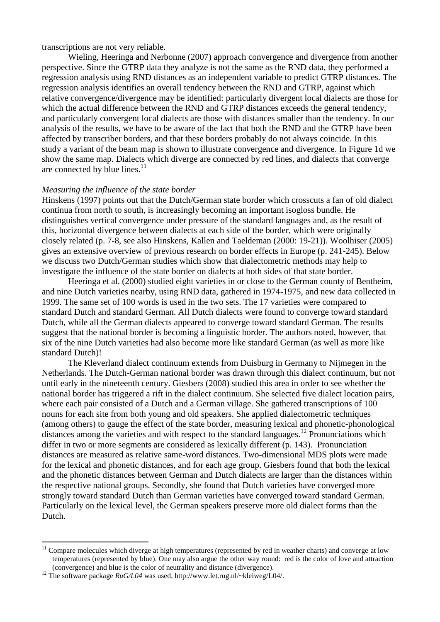transcriptions are not very reliable.

Wieling, Heeringa and Nerbonne (2007) approach convergence and divergence from another perspective. Since the GTRP data they analyze is not the same as the RND data, they performed a regression analysis using RND distances as an independent variable to predict GTRP distances. The regression analysis identifies an overall tendency between the RND and GTRP, against which relative convergence/divergence may be identified: particularly divergent local dialects are those for which the actual difference between the RND and GTRP distances exceeds the general tendency, and particularly convergent local dialects are those with distances smaller than the tendency. In our analysis of the results, we have to be aware of the fact that both the RND and the GTRP have been affected by transcriber borders, and that these borders probably do not always coincide. In this study a variant of the beam map is shown to illustrate convergence and divergence. In Figure 1d we show the same map. Dialects which diverge are connected by red lines, and dialects that converge are connected by blue lines. $11$ 

#### *Measuring the influence of the state border*

Hinskens (1997) points out that the Dutch/German state border which crosscuts a fan of old dialect continua from north to south, is increasingly becoming an important isogloss bundle. He distinguishes vertical convergence under pressure of the standard languages and, as the result of this, horizontal divergence between dialects at each side of the border, which were originally closely related (p. 7-8, see also Hinskens, Kallen and Taeldeman (2000: 19-21)). Woolhiser (2005) gives an extensive overview of previous research on border effects in Europe (p. 241-245). Below we discuss two Dutch/German studies which show that dialectometric methods may help to investigate the influence of the state border on dialects at both sides of that state border.

Heeringa et al. (2000) studied eight varieties in or close to the German county of Bentheim, and nine Dutch varieties nearby, using RND data, gathered in 1974-1975, and new data collected in 1999. The same set of 100 words is used in the two sets. The 17 varieties were compared to standard Dutch and standard German. All Dutch dialects were found to converge toward standard Dutch, while all the German dialects appeared to converge toward standard German. The results suggest that the national border is becoming a linguistic border. The authors noted, however, that six of the nine Dutch varieties had also become more like standard German (as well as more like standard Dutch)!

The Kleverland dialect continuum extends from Duisburg in Germany to Nijmegen in the Netherlands. The Dutch-German national border was drawn through this dialect continuum, but not until early in the nineteenth century. Giesbers (2008) studied this area in order to see whether the national border has triggered a rift in the dialect continuum. She selected five dialect location pairs, where each pair consisted of a Dutch and a German village. She gathered transcriptions of 100 nouns for each site from both young and old speakers. She applied dialectometric techniques (among others) to gauge the effect of the state border, measuring lexical and phonetic-phonological distances among the varieties and with respect to the standard languages.<sup>12</sup> Pronunciations which differ in two or more segments are considered as lexically different (p. 143). Pronunciation distances are measured as relative same-word distances. Two-dimensional MDS plots were made for the lexical and phonetic distances, and for each age group. Giesbers found that both the lexical and the phonetic distances between German and Dutch dialects are larger than the distances within the respective national groups. Secondly, she found that Dutch varieties have converged more strongly toward standard Dutch than German varieties have converged toward standard German. Particularly on the lexical level, the German speakers preserve more old dialect forms than the Dutch.

<u>.</u>

 $11$  Compare molecules which diverge at high temperatures (represented by red in weather charts) and converge at low temperatures (represented by blue). One may also argue the other way round: red is the color of love and attraction (convergence) and blue is the color of neutrality and distance (divergence).

<sup>12</sup> The software package *RuG/L04* was used, http://www.let.rug.nl/~kleiweg/L04/.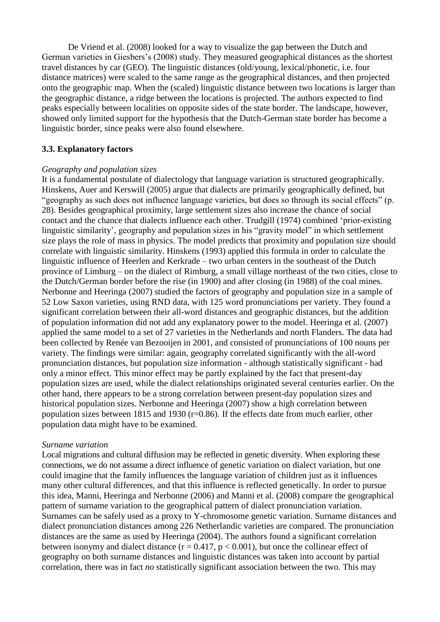De Vriend et al. (2008) looked for a way to visualize the gap between the Dutch and German varieties in Giesbers's (2008) study. They measured geographical distances as the shortest travel distances by car (GEO). The linguistic distances (old/young, lexical/phonetic, i.e. four distance matrices) were scaled to the same range as the geographical distances, and then projected onto the geographic map. When the (scaled) linguistic distance between two locations is larger than the geographic distance, a ridge between the locations is projected. The authors expected to find peaks especially between localities on opposite sides of the state border. The landscape, however, showed only limited support for the hypothesis that the Dutch-German state border has become a linguistic border, since peaks were also found elsewhere.

### **3.3. Explanatory factors**

### *Geography and population sizes*

It is a fundamental postulate of dialectology that language variation is structured geographically. Hinskens, Auer and Kerswill (2005) argue that dialects are primarily geographically defined, but "geography as such does not influence language varieties, but does so through its social effects" (p. 28). Besides geographical proximity, large settlement sizes also increase the chance of social contact and the chance that dialects influence each other. Trudgill (1974) combined 'prior-existing linguistic similarity', geography and population sizes in his "gravity model" in which settlement size plays the role of mass in physics. The model predicts that proximity and population size should correlate with linguistic similarity. Hinskens (1993) applied this formula in order to calculate the linguistic influence of Heerlen and Kerkrade – two urban centers in the southeast of the Dutch province of Limburg – on the dialect of Rimburg, a small village northeast of the two cities, close to the Dutch/German border before the rise (in 1900) and after closing (in 1988) of the coal mines. Nerbonne and Heeringa (2007) studied the factors of geography and population size in a sample of 52 Low Saxon varieties, using RND data, with 125 word pronunciations per variety. They found a significant correlation between their all-word distances and geographic distances, but the addition of population information did not add any explanatory power to the model. Heeringa et al. (2007) applied the same model to a set of 27 varieties in the Netherlands and north Flanders. The data had been collected by Renée van Bezooijen in 2001, and consisted of pronunciations of 100 nouns per variety. The findings were similar: again, geography correlated significantly with the all-word pronunciation distances, but population size information - although statistically significant - had only a minor effect. This minor effect may be partly explained by the fact that present-day population sizes are used, while the dialect relationships originated several centuries earlier. On the other hand, there appears to be a strong correlation between present-day population sizes and historical population sizes. Nerbonne and Heeringa (2007) show a high correlation between population sizes between 1815 and 1930 (r=0.86). If the effects date from much earlier, other population data might have to be examined.

#### *Surname variation*

Local migrations and cultural diffusion may be reflected in genetic diversity. When exploring these connections, we do not assume a direct influence of genetic variation on dialect variation, but one could imagine that the family influences the language variation of children just as it influences many other cultural differences, and that this influence is reflected genetically. In order to pursue this idea, Manni, Heeringa and Nerbonne (2006) and Manni et al. (2008) compare the geographical pattern of surname variation to the geographical pattern of dialect pronunciation variation. Surnames can be safely used as a proxy to Y-chromosome genetic variation. Surname distances and dialect pronunciation distances among 226 Netherlandic varieties are compared. The pronunciation distances are the same as used by Heeringa (2004). The authors found a significant correlation between isonymy and dialect distance  $(r = 0.417, p < 0.001)$ , but once the collinear effect of geography on both surname distances and linguistic distances was taken into account by partial correlation, there was in fact *no* statistically significant association between the two. This may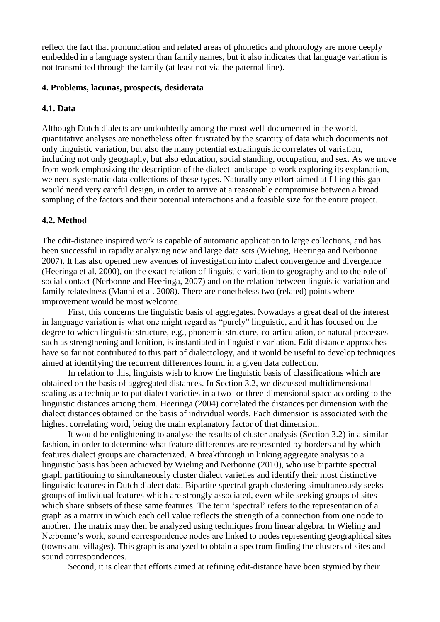reflect the fact that pronunciation and related areas of phonetics and phonology are more deeply embedded in a language system than family names, but it also indicates that language variation is not transmitted through the family (at least not via the paternal line).

#### **4. Problems, lacunas, prospects, desiderata**

#### **4.1. Data**

Although Dutch dialects are undoubtedly among the most well-documented in the world, quantitative analyses are nonetheless often frustrated by the scarcity of data which documents not only linguistic variation, but also the many potential extralinguistic correlates of variation, including not only geography, but also education, social standing, occupation, and sex. As we move from work emphasizing the description of the dialect landscape to work exploring its explanation, we need systematic data collections of these types. Naturally any effort aimed at filling this gap would need very careful design, in order to arrive at a reasonable compromise between a broad sampling of the factors and their potential interactions and a feasible size for the entire project.

### **4.2. Method**

The edit-distance inspired work is capable of automatic application to large collections, and has been successful in rapidly analyzing new and large data sets (Wieling, Heeringa and Nerbonne 2007). It has also opened new avenues of investigation into dialect convergence and divergence (Heeringa et al. 2000), on the exact relation of linguistic variation to geography and to the role of social contact (Nerbonne and Heeringa, 2007) and on the relation between linguistic variation and family relatedness (Manni et al. 2008). There are nonetheless two (related) points where improvement would be most welcome.

First, this concerns the linguistic basis of aggregates. Nowadays a great deal of the interest in language variation is what one might regard as "purely" linguistic, and it has focused on the degree to which linguistic structure, e.g., phonemic structure, co-articulation, or natural processes such as strengthening and lenition, is instantiated in linguistic variation. Edit distance approaches have so far not contributed to this part of dialectology, and it would be useful to develop techniques aimed at identifying the recurrent differences found in a given data collection.

In relation to this, linguists wish to know the linguistic basis of classifications which are obtained on the basis of aggregated distances. In Section 3.2, we discussed multidimensional scaling as a technique to put dialect varieties in a two- or three-dimensional space according to the linguistic distances among them. Heeringa (2004) correlated the distances per dimension with the dialect distances obtained on the basis of individual words. Each dimension is associated with the highest correlating word, being the main explanatory factor of that dimension.

It would be enlightening to analyse the results of cluster analysis (Section 3.2) in a similar fashion, in order to determine what feature differences are represented by borders and by which features dialect groups are characterized. A breakthrough in linking aggregate analysis to a linguistic basis has been achieved by Wieling and Nerbonne (2010), who use bipartite spectral graph partitioning to simultaneously cluster dialect varieties and identify their most distinctive linguistic features in Dutch dialect data. Bipartite spectral graph clustering simultaneously seeks groups of individual features which are strongly associated, even while seeking groups of sites which share subsets of these same features. The term 'spectral' refers to the representation of a graph as a matrix in which each cell value reflects the strength of a connection from one node to another. The matrix may then be analyzed using techniques from linear algebra. In Wieling and Nerbonne's work, sound correspondence nodes are linked to nodes representing geographical sites (towns and villages). This graph is analyzed to obtain a spectrum finding the clusters of sites and sound correspondences.

Second, it is clear that efforts aimed at refining edit-distance have been stymied by their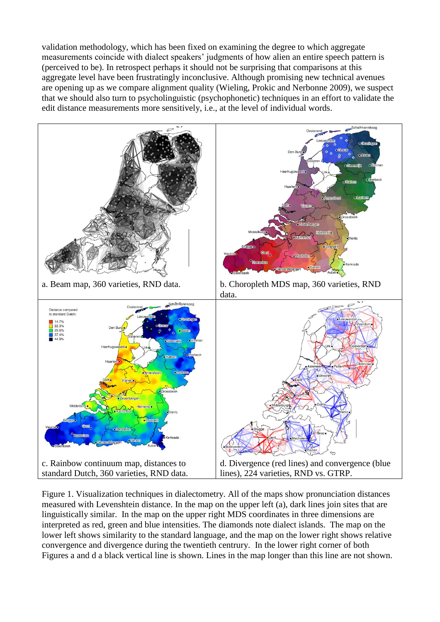validation methodology, which has been fixed on examining the degree to which aggregate measurements coincide with dialect speakers' judgments of how alien an entire speech pattern is (perceived to be). In retrospect perhaps it should not be surprising that comparisons at this aggregate level have been frustratingly inconclusive. Although promising new technical avenues are opening up as we compare alignment quality (Wieling, Prokic and Nerbonne 2009), we suspect that we should also turn to psycholinguistic (psychophonetic) techniques in an effort to validate the edit distance measurements more sensitively, i.e., at the level of individual words.



Figure 1. Visualization techniques in dialectometry. All of the maps show pronunciation distances measured with Levenshtein distance. In the map on the upper left (a), dark lines join sites that are linguistically similar. In the map on the upper right MDS coordinates in three dimensions are interpreted as red, green and blue intensities. The diamonds note dialect islands. The map on the lower left shows similarity to the standard language, and the map on the lower right shows relative convergence and divergence during the twentieth centrury. In the lower right corner of both Figures a and d a black vertical line is shown. Lines in the map longer than this line are not shown.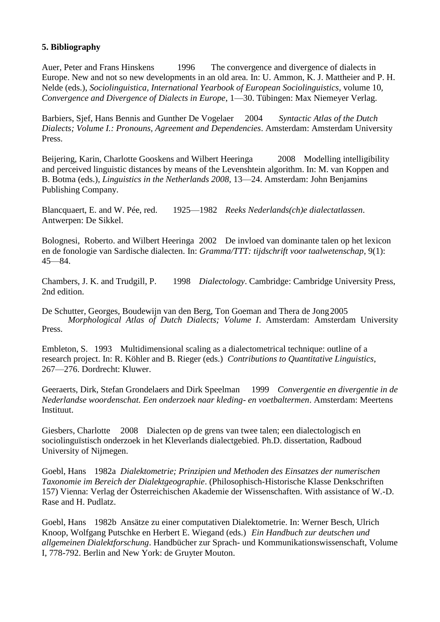## **5. Bibliography**

Auer, Peter and Frans Hinskens 1996 The convergence and divergence of dialects in Europe. New and not so new developments in an old area. In: U. Ammon, K. J. Mattheier and P. H. Nelde (eds.), *Sociolinguistica, International Yearbook of European Sociolinguistics*, volume 10*, Convergence and Divergence of Dialects in Europe*, 1—30. Tübingen: Max Niemeyer Verlag.

Barbiers, Sjef, Hans Bennis and Gunther De Vogelaer 2004 *Syntactic Atlas of the Dutch Dialects; Volume I.: Pronouns, Agreement and Dependencies*. Amsterdam: Amsterdam University Press.

Beijering, Karin, Charlotte Gooskens and Wilbert Heeringa 2008 Modelling intelligibility and perceived linguistic distances by means of the Levenshtein algorithm. In: M. van Koppen and B. Botma (eds.), *Linguistics in the Netherlands 2008*, 13—24. Amsterdam: John Benjamins Publishing Company.

Blancquaert, E. and W. Pée, red. 1925—1982 *Reeks Nederlands(ch)e dialectatlassen*. Antwerpen: De Sikkel.

Bolognesi, Roberto. and Wilbert Heeringa 2002 De invloed van dominante talen op het lexicon en de fonologie van Sardische dialecten. In: *Gramma/TTT: tijdschrift voor taalwetenschap*, 9(1): 45—84.

Chambers, J. K. and Trudgill, P. 1998 *Dialectology*. Cambridge: Cambridge University Press, 2nd edition.

De Schutter, Georges, Boudewijn van den Berg, Ton Goeman and Thera de Jong2005 *Morphological Atlas of Dutch Dialects; Volume I*. Amsterdam: Amsterdam University Press.

Embleton, S. 1993 Multidimensional scaling as a dialectometrical technique: outline of a research project. In: R. Köhler and B. Rieger (eds.) *Contributions to Quantitative Linguistics*, 267—276. Dordrecht: Kluwer.

Geeraerts, Dirk, Stefan Grondelaers and Dirk Speelman 1999 *Convergentie en divergentie in de Nederlandse woordenschat. Een onderzoek naar kleding- en voetbaltermen*. Amsterdam: Meertens Instituut.

Giesbers, Charlotte 2008 Dialecten op de grens van twee talen; een dialectologisch en sociolinguïstisch onderzoek in het Kleverlands dialectgebied. Ph.D. dissertation, Radboud University of Nijmegen.

Goebl, Hans 1982a *Dialektometrie; Prinzipien und Methoden des Einsatzes der numerischen Taxonomie im Bereich der Dialektgeographie*. (Philosophisch-Historische Klasse Denkschriften 157) Vienna: Verlag der Österreichischen Akademie der Wissenschaften. With assistance of W.-D. Rase and H. Pudlatz.

Goebl, Hans 1982b Ansätze zu einer computativen Dialektometrie. In: Werner Besch, Ulrich Knoop, Wolfgang Putschke en Herbert E. Wiegand (eds.) *Ein Handbuch zur deutschen und allgemeinen Dialektforschung*. Handbücher zur Sprach- und Kommunikationswissenschaft, Volume I, 778-792. Berlin and New York: de Gruyter Mouton.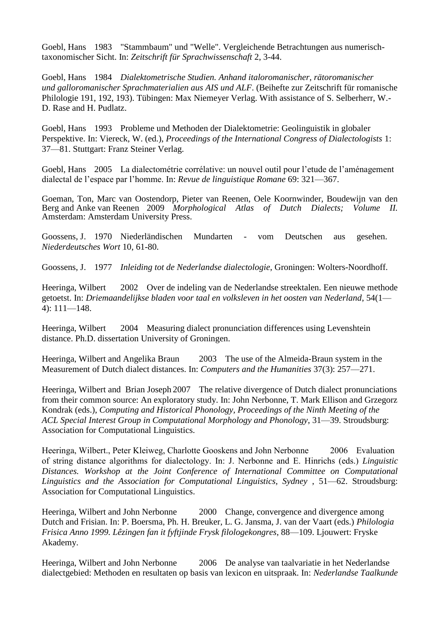Goebl, Hans 1983 "Stammbaum" und "Welle". Vergleichende Betrachtungen aus numerischtaxonomischer Sicht. In: *Zeitschrift für Sprachwissenschaft* 2, 3-44.

Goebl, Hans 1984 *Dialektometrische Studien. Anhand italoromanischer, rätoromanischer und galloromanischer Sprachmaterialien aus AIS und ALF*. (Beihefte zur Zeitschrift für romanische Philologie 191, 192, 193). Tübingen: Max Niemeyer Verlag. With assistance of S. Selberherr, W.- D. Rase and H. Pudlatz.

Goebl, Hans 1993 Probleme und Methoden der Dialektometrie: Geolinguistik in globaler Perspektive. In: Viereck, W. (ed.), *Proceedings of the International Congress of Dialectologists* 1: 37—81. Stuttgart: Franz Steiner Verlag.

Goebl, Hans 2005 La dialectométrie corrélative: un nouvel outil pour l'etude de l'aménagement dialectal de l'espace par l'homme. In: *Revue de linguistique Romane* 69: 321—367.

Goeman, Ton, Marc van Oostendorp, Pieter van Reenen, Oele Koornwinder, Boudewijn van den Berg and Anke van Reenen 2009 *Morphological Atlas of Dutch Dialects; Volume II.* Amsterdam: Amsterdam University Press.

Goossens, J. 1970 Niederländischen Mundarten - vom Deutschen aus gesehen. *Niederdeutsches Wort* 10, 61-80.

Goossens, J. 1977 *Inleiding tot de Nederlandse dialectologie*, Groningen: Wolters-Noordhoff.

Heeringa, Wilbert 2002 Over de indeling van de Nederlandse streektalen. Een nieuwe methode getoetst. In: *Driemaandelijkse bladen voor taal en volksleven in het oosten van Nederland*, 54(1— 4): 111—148.

Heeringa, Wilbert 2004 Measuring dialect pronunciation differences using Levenshtein distance. Ph.D. dissertation University of Groningen.

Heeringa, Wilbert and Angelika Braun 2003 The use of the Almeida-Braun system in the Measurement of Dutch dialect distances. In: *Computers and the Humanities* 37(3): 257—271.

Heeringa, Wilbert and Brian Joseph 2007 The relative divergence of Dutch dialect pronunciations from their common source: An exploratory study. In: John Nerbonne, T. Mark Ellison and Grzegorz Kondrak (eds.), *Computing and Historical Phonology, Proceedings of the Ninth Meeting of the ACL Special Interest Group in Computational Morphology and Phonology*, 31—39. Stroudsburg: Association for Computational Linguistics.

Heeringa, Wilbert., Peter Kleiweg, Charlotte Gooskens and John Nerbonne 2006 Evaluation of string distance algorithms for dialectology. In: J. Nerbonne and E. Hinrichs (eds.) *Linguistic Distances. Workshop at the Joint Conference of International Committee on Computational Linguistics and the Association for Computational Linguistics, Sydney* , 51—62. Stroudsburg: Association for Computational Linguistics.

Heeringa, Wilbert and John Nerbonne 2000 Change, convergence and divergence among Dutch and Frisian. In: P. Boersma, Ph. H. Breuker, L. G. Jansma, J. van der Vaart (eds.) *Philologia Frisica Anno 1999. Lêzingen fan it fyftjinde Frysk filologekongres*, 88—109. Ljouwert: Fryske Akademy.

Heeringa, Wilbert and John Nerbonne 2006 De analyse van taalvariatie in het Nederlandse dialectgebied: Methoden en resultaten op basis van lexicon en uitspraak. In: *Nederlandse Taalkunde*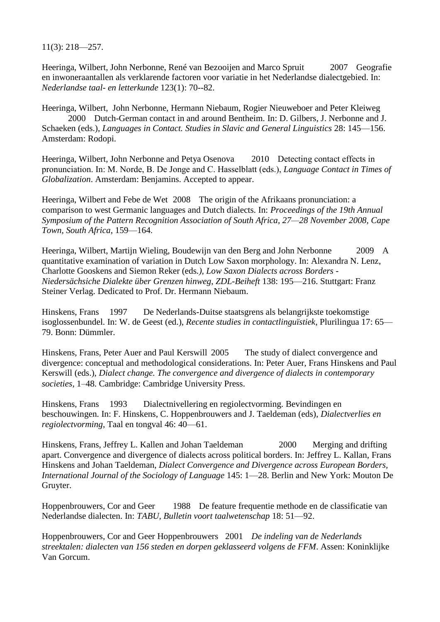11(3): 218—257.

Heeringa, Wilbert, John Nerbonne, René van Bezooijen and Marco Spruit 2007 Geografie en inwoneraantallen als verklarende factoren voor variatie in het Nederlandse dialectgebied. In: *Nederlandse taal- en letterkunde* 123(1): 70--82.

Heeringa, Wilbert, John Nerbonne, Hermann Niebaum, Rogier Nieuweboer and Peter Kleiweg 2000 Dutch-German contact in and around Bentheim. In: D. Gilbers, J. Nerbonne and J. Schaeken (eds.), *Languages in Contact. Studies in Slavic and General Linguistics* 28: 145—156. Amsterdam: Rodopi.

Heeringa, Wilbert, John Nerbonne and Petya Osenova 2010 Detecting contact effects in pronunciation. In: M. Norde, B. De Jonge and C. Hasselblatt (eds.), *Language Contact in Times of Globalization*. Amsterdam: Benjamins. Accepted to appear.

Heeringa, Wilbert and Febe de Wet 2008 The origin of the Afrikaans pronunciation: a comparison to west Germanic languages and Dutch dialects. In: *Proceedings of the 19th Annual Symposium of the Pattern Recognition Association of South Africa, 27—28 November 2008, Cape Town, South Africa*, 159—164.

Heeringa, Wilbert, Martijn Wieling, Boudewijn van den Berg and John Nerbonne 2009 A quantitative examination of variation in Dutch Low Saxon morphology. In: Alexandra N. Lenz, Charlotte Gooskens and Siemon Reker (eds*.), Low Saxon Dialects across Borders - Niedersächsiche Dialekte über Grenzen hinweg*, *ZDL-Beiheft* 138: 195—216. Stuttgart: Franz Steiner Verlag. Dedicated to Prof. Dr. Hermann Niebaum.

Hinskens, Frans 1997 De Nederlands-Duitse staatsgrens als belangrijkste toekomstige isoglossenbundel. In: W. de Geest (ed.), *Recente studies in contactlinguïstiek*, Plurilingua 17: 65— 79. Bonn: Dümmler.

Hinskens, Frans, Peter Auer and Paul Kerswill 2005 The study of dialect convergence and divergence: conceptual and methodological considerations. In: Peter Auer, Frans Hinskens and Paul Kerswill (eds.), *Dialect change. The convergence and divergence of dialects in contemporary societies*, 1—48. Cambridge: Cambridge University Press.

Hinskens, Frans 1993 Dialectnivellering en regiolectvorming. Bevindingen en beschouwingen. In: F. Hinskens, C. Hoppenbrouwers and J. Taeldeman (eds), *Dialectverlies en regiolectvorming*, Taal en tongval 46: 40—61.

Hinskens, Frans, Jeffrey L. Kallen and Johan Taeldeman 2000 Merging and drifting apart. Convergence and divergence of dialects across political borders. In: Jeffrey L. Kallan, Frans Hinskens and Johan Taeldeman, *Dialect Convergence and Divergence across European Borders, International Journal of the Sociology of Language* 145: 1—28. Berlin and New York: Mouton De Gruyter.

Hoppenbrouwers, Cor and Geer 1988 De feature frequentie methode en de classificatie van Nederlandse dialecten. In: *TABU, Bulletin voort taalwetenschap* 18: 51—92.

Hoppenbrouwers, Cor and Geer Hoppenbrouwers 2001 *De indeling van de Nederlands streektalen: dialecten van 156 steden en dorpen geklasseerd volgens de FFM*. Assen: Koninklijke Van Gorcum.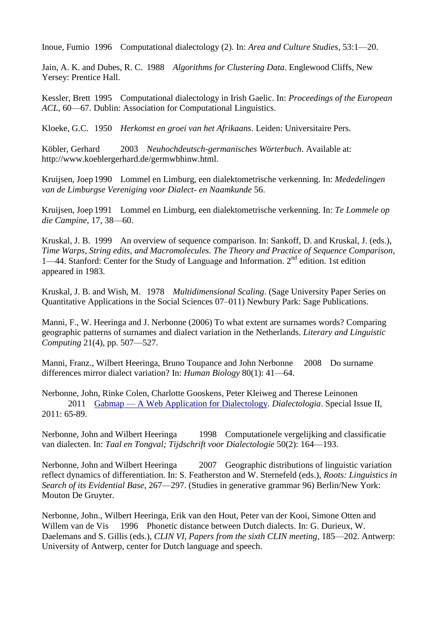Inoue, Fumio 1996 Computational dialectology (2). In: *Area and Culture Studies*, 53:1—20.

Jain, A. K. and Dubes, R. C. 1988 *Algorithms for Clustering Data*. Englewood Cliffs, New Yersey: Prentice Hall.

Kessler, Brett 1995 Computational dialectology in Irish Gaelic. In: *Proceedings of the European ACL*, 60—67. Dublin: Association for Computational Linguistics.

Kloeke, G.C. 1950 *Herkomst en groei van het Afrikaans*. Leiden: Universitaire Pers.

Köbler, Gerhard 2003 *Neuhochdeutsch-germanisches Wörterbuch*. Available at: http://www.koeblergerhard.de/germwbhinw.html.

Kruijsen, Joep 1990 Lommel en Limburg, een dialektometrische verkenning. In: *Mededelingen van de Limburgse Vereniging voor Dialect- en Naamkunde* 56.

Kruijsen, Joep 1991 Lommel en Limburg, een dialektometrische verkenning. In: *Te Lommele op die Campine*, 17, 38—60.

Kruskal, J. B. 1999 An overview of sequence comparison. In: Sankoff, D. and Kruskal, J. (eds.), *Time Warps, String edits, and Macromolecules. The Theory and Practice of Sequence Comparison*, 1—44. Stanford: Center for the Study of Language and Information.  $2<sup>nd</sup>$  edition. 1st edition appeared in 1983.

Kruskal, J. B. and Wish, M. 1978 *Multidimensional Scaling*. (Sage University Paper Series on Quantitative Applications in the Social Sciences 07–011) Newbury Park: Sage Publications.

Manni, F., W. Heeringa and J. Nerbonne (2006) To what extent are surnames words? Comparing geographic patterns of surnames and dialect variation in the Netherlands. *Literary and Linguistic Computing* 21(4), pp. 507—527.

Manni, Franz., Wilbert Heeringa, Bruno Toupance and John Nerbonne 2008 Do surname differences mirror dialect variation? In: *Human Biology* 80(1): 41—64.

Nerbonne, John, Rinke Colen, Charlotte Gooskens, Peter Kleiweg and Therese Leinonen 2011 Gabmap — [A Web Application for Dialectology.](http://urd.let.rug.nl/nerbonne/papers/Gabmap-long-2011.pdf) *Dialectologia*. Special Issue II, 2011: 65-89.

Nerbonne, John and Wilbert Heeringa 1998 Computationele vergelijking and classificatie van dialecten. In: *Taal en Tongval; Tijdschrift voor Dialectologie* 50(2): 164—193.

Nerbonne, John and Wilbert Heeringa 2007 Geographic distributions of linguistic variation reflect dynamics of differentiation. In: S. Featherston and W. Sternefeld (eds.), *Roots: Linguistics in Search of its Evidential Base*, 267—297. (Studies in generative grammar 96) Berlin/New York: Mouton De Gruyter.

Nerbonne, John., Wilbert Heeringa, Erik van den Hout, Peter van der Kooi, Simone Otten and Willem van de Vis 1996 Phonetic distance between Dutch dialects. In: G. Durieux, W. Daelemans and S. Gillis (eds.), *CLIN VI, Papers from the sixth CLIN meeting*, 185—202. Antwerp: University of Antwerp, center for Dutch language and speech.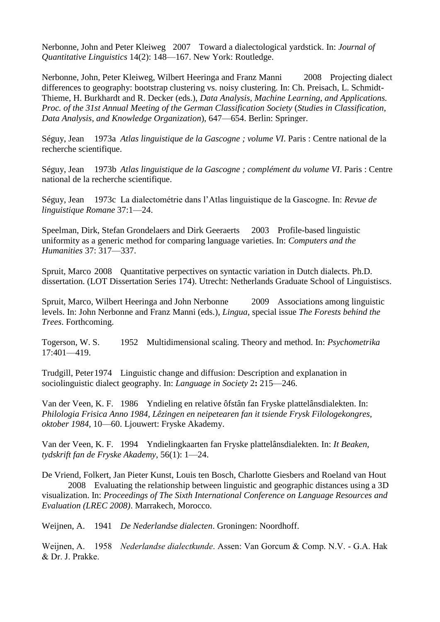Nerbonne, John and Peter Kleiweg 2007 Toward a dialectological yardstick. In: *Journal of Quantitative Linguistics* 14(2): 148—167. New York: Routledge.

Nerbonne, John, Peter Kleiweg, Wilbert Heeringa and Franz Manni 2008 Projecting dialect differences to geography: bootstrap clustering vs. noisy clustering. In: Ch. Preisach, L. Schmidt-Thieme, H. Burkhardt and R. Decker (eds.), *Data Analysis, Machine Learning, and Applications. Proc. of the 31st Annual Meeting of the German Classification Society* (*Studies in Classification, Data Analysis, and Knowledge Organization*), 647—654. Berlin: Springer.

Séguy, Jean 1973a *Atlas linguistique de la Gascogne ; volume VI*. Paris : Centre national de la recherche scientifique.

Séguy, Jean 1973b *Atlas linguistique de la Gascogne ; complément du volume VI*. Paris : Centre national de la recherche scientifique.

Séguy, Jean 1973c La dialectométrie dans l'Atlas linguistique de la Gascogne. In: *Revue de linguistique Romane* 37:1—24.

Speelman, Dirk, Stefan Grondelaers and Dirk Geeraerts 2003 Profile-based linguistic uniformity as a generic method for comparing language varieties. In: *Computers and the Humanities* 37: 317—337.

Spruit, Marco 2008 Quantitative perpectives on syntactic variation in Dutch dialects. Ph.D. dissertation. (LOT Dissertation Series 174). Utrecht: Netherlands Graduate School of Linguistiscs.

Spruit, Marco, Wilbert Heeringa and John Nerbonne 2009 Associations among linguistic levels. In: John Nerbonne and Franz Manni (eds.), *Lingua*, special issue *The Forests behind the Trees*. Forthcoming.

Togerson, W. S. 1952 Multidimensional scaling. Theory and method. In: *Psychometrika*  17:401—419.

Trudgill, Peter1974 Linguistic change and diffusion: Description and explanation in sociolinguistic dialect geography. In: *Language in Society* 2**:** 215—246.

Van der Veen, K. F. 1986 Yndieling en relative ôfstân fan Fryske plattelânsdialekten. In: *Philologia Frisica Anno 1984, Lêzingen en neipetearen fan it tsiende Frysk Filologekongres, oktober 1984*, 10—60. Ljouwert: Fryske Akademy.

Van der Veen, K. F. 1994 Yndielingkaarten fan Fryske plattelânsdialekten. In: *It Beaken, tydskrift fan de Fryske Akademy*, 56(1): 1—24.

De Vriend, Folkert, Jan Pieter Kunst, Louis ten Bosch, Charlotte Giesbers and Roeland van Hout 2008 Evaluating the relationship between linguistic and geographic distances using a 3D visualization. In: *Proceedings of The Sixth International Conference on Language Resources and Evaluation (LREC 2008)*. Marrakech, Morocco.

Weijnen, A. 1941 *De Nederlandse dialecten*. Groningen: Noordhoff.

Weijnen, A. 1958 *Nederlandse dialectkunde*. Assen: Van Gorcum & Comp. N.V. - G.A. Hak & Dr. J. Prakke.